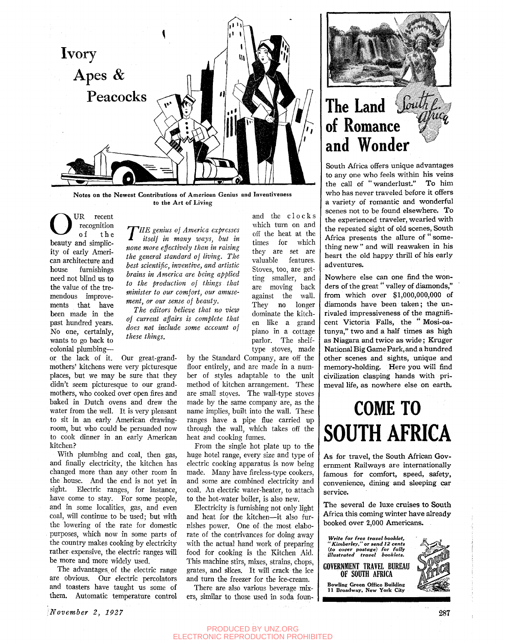

**Note s on the Newest Contributions o f American Genius and Inventiveness**  to the Art of Living

O UR recent recognition of th e beauty and simplicity of early American architecture and house furnishings need not blind us to the value of the tremendous improvements that have been made in the past hundred years. No one, certainly, wants to go back to colonial plumbing—

or the lack of it. mothers' kitchens were very picturesque places, but we may be sure that they didn't seem picturesque to our grandmothers, who cooked over open fires and baked in Dutch ovens and drew the water from the well. It is very pleasant to sit in an early American drawingroom, but who could be persuaded now to cook dinner in an early American kitchen? Our great-grand-

With plumbing and coal, then gas, and finally electricity, the kitchen has changed more than any other room in the house. And the end is not yet in sight. Electric ranges, for instance, have come to stay. For some people, and in some localities, gas, and even coal, will continue to be used; but with the lowering of the rate for domestic purposes, which now in some parts of the country makes cooking by electricity rather-expensive, the electric ranges will be more and more widely used.

The advantages of the electric range are obvious. Our electric percolators and toasters have taught us some of them. Automatic temperature control

*<i>r r HE* genius of America expresses itself in many ways, but in none more effectively than in raising *HE genius of America expresses itself in many ways, but in the general standard of living. The best scientific, inventive, and artistic brains in America are being applied to the production of things that minister to our comfort, our amusement, or our sense of beauty.* 

*The editors believe that no view of current affairs is complete that does not include some account of these things.* 

> type stoves, made by the Standard Company, are off the floor entirely, and are made in a number of styles adaptable to the unit method of kitchen arrangement. These are small stoves. The wall-type stoves made by the same company are, as the name implies, built into the wall. These ranges have a pipe flue carried up through the wall, which takes off the heat and cooking fumes.

and the clock s which turn on and off the heat at the times for which they are set are valuable features. Stoves, too, are getting smaller, and are moving back against the wall. They no longer dominate the kitchen like a grand piano in a cottage parlor. The shelf-

From the single hot plate up to the huge hotel range, every size and type of electric cooking apparatus is now being made. Many have fireless-type cookers, and some are combined electricity and coal. An electric water-heater, to attach to the hot-water boiler, is also new.

Electricity is furnishing not only light and heat for the kitchen—it also furnishes power. One of the most elaborate of the contrivances for doing away with the actual hand work of preparing food for cooking is the Kitchen Aid. This machine stirs, mixes, strains, chops, grates, and slices. It will crack the ice and turn the freezer for the ice-cream.

There are also various beverage mixers, similar to those used in soda foun-



## The Land *South*  $of$  Romance and Wonder

South Africa offers unique advantages to any one who feels within his veins the call of "wanderlust." To him who has never traveled before it offers a variety of romantic and wonderful scenes not to be found elsewhere. To the experienced traveler, wearied with the repeated sight of old scenes, South Africa presents the allure of "something new" and will reawaken in his heart the old happy thrill of his early adventures. adverse.<br>...

Nowhere else can one find the wonders of the great " valley of diamonds." from which over \$1,000,000,000 of diamonds have been taken; the unrivaled impressiveness of the magnificent Victoria Falls, the " Mosi-oatunya," two and a half times as high as Niagara and twice as wide; Kruger National Big Game Park, and a hundred other scenes and sights, unique and memory-holding. Here you will find civilization clasping hands with primeval life, as nowhere else on earth.

# **COME TO SOUTH AFRICA**

As for travel, the South African Government Railways are internationally famous for comfort, speed, safety, convenience, dining and sleeping car service.

The several de luxe cruises to South Africa this coming winter have already booked over 2,000 Americans.

*Write for free travel booklet, " Kimberley," or send 12 cents {to cover postage) for fully illustrated travel booklets.* 

**GOVERNMENT TRAVEL BUREAU OF SOUTH AFRICA Bowling Green Office Building 11 Broadway, New York City**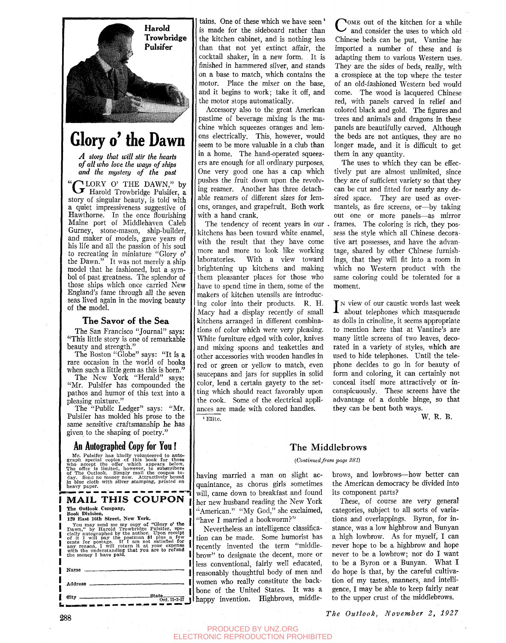

## **Glory o' the Dawn**

*A story that will stir the hearts of all who love the ways of ships and the mystery of the past* 

" LORY O' THE DAWN," by F Harold Trowbridge Pulsifer, a story of singular beauty, is told with a quiet impressiveness suggestive of Hawthorne. In the once flourishing Maine port of Middlehaven Caleb Gurney, stone-mason, ship-builder, and maker of models, gave years of his life and all the passion of his soul to recreating in miniature "Glory o' the Dawn." It was not merely a ship model that he fashioned, but a symbol of past greatness. The splendor of those ships which once carried New England's fame through all the seven seas lived again in the moving beauty of the model.

#### **T he Savor of the Se a**

The San Francisco "Journal" says: "This little story is one of remarkable beauty and strength."

The Boston "Globe" says: "It is a rare occasion in the world of books when such a little gem as this is born."

The New York "Herald" says: "Mr. Pulsifer has compounded the pathos and humor of this text into a pleasing mixture."

The "Public Ledger" says: "Mr. Pulsifer has molded his prose to the same sensitive craftsmanship he has given to the shaping of poetry."

#### **An Autographed Copy for You!**

Mr. Pulsifer has kindly volutieered to auto-<br>graph special copies of this book for those<br>who accept the offer which appears below.<br>The offer is limited, however, to subscribers<br>of The Outlook. Simply mail the coupon to-<br> $\$ heavy paper.

#### MAIL THIS COUPON The Outlook Company,

Book Division,<br>120 East 16th Street, New York.

120 East 16th Street, New York.<br>
You may send me my copy of "Glory o' the<br>
Dawn," by Harold Trowbridge Pulsifer, spe-<br>
cially autographed by the author. Upon receipt<br>
of it I will pay the postman \$1 plus a few<br>
cents for p

| Name                                                                                                                                                                                                                                                                                                                                                                       |  |
|----------------------------------------------------------------------------------------------------------------------------------------------------------------------------------------------------------------------------------------------------------------------------------------------------------------------------------------------------------------------------|--|
|                                                                                                                                                                                                                                                                                                                                                                            |  |
| $\begin{picture}(100,10) \put(0,0){\vector(1,0){180}} \put(15,0){\vector(1,0){180}} \put(15,0){\vector(1,0){180}} \put(15,0){\vector(1,0){180}} \put(15,0){\vector(1,0){180}} \put(15,0){\vector(1,0){180}} \put(15,0){\vector(1,0){180}} \put(15,0){\vector(1,0){180}} \put(15,0){\vector(1,0){180}} \put(15,0){\vector(1,0){180}} \put(15,0){\vector(1,0){180}}$<br>City |  |

tains. One of these which we have seen' is made for the sideboard rather than the kitchen cabinet, and is nothing less than that not yet extinct affair, the cocktail shaker, in a new form. It is finished in hammered silver, and stands on a base to match, which contains the motor. Place the mixer on the base, and it begins to work; take it off, and the motor stops automatically.

Accessory also to the great American pastime of beverage mixing is the machine which squeezes oranges and lemons electrically. This, however, would seem to be more valuable in a club than in a home. The hand-operated squeezers are enough for all ordinary purposes. One very good one has a cap which pushes the fruit down upon the revolving reamer. Another has three detachable reamers of different sizes for lemons, oranges, and grapefruit. Both work with a hand crank.

The tendency of recent years in our kitchens has been toward white enamel, with the result that they have come more and more to look like working laboratories. With a view toward brightening up kitchens and making them pleasanter places for those who have to spend time in them, some of the makers of kitchen utensils are introducing color into their products. R. H. Macy had a display recently of small kitchens arranged in different combinations of color which were very pleasing. White furniture edged with color, knives and mixing spoons and teakettles and other accessories with wooden handles in red or green or yellow to match, even saucepans and jars for supplies in solid color, lend a certain gayety to the setting which should react favorably upon the cook. Some of the electrical appliances are made with colored handles. ' Elite.

COME out of the kitchen for a while<br>and consider the uses to which old and consider the uses to which old Chinese beds can be put. Vantine ha? imported a number of these and is adapting them to various Western uses. They are the sides of beds, really, with a crosspiece at the top where the tester of an old-fashioned Western bed would come. The wood is lacquered Chinese red, with panels carved in relief and colored black and gold. The figures and trees and animals and dragons in these panels are beautifully carved. Although the beds are not antiques, they are no longer made, and it is difficult to get them in any quantity.

The uses to which they can be effectively put are almost unlimited, since they are of sufficient variety so that they can be cut and fitted for nearly any desired space. They are used as overmantels, as fire screens, or—by taking out one or more panels—as mirror frames. The coloring is rich, they possess the style which all Chinese decorative art possesses, and have the advantage, shared by other Chinese furnishings, that they will fit into a room in which no Western product with the same coloring could be tolerated for a moment.

 $\sum_{n=1}^{\infty}$  view of our caustic words last week about telephones which masquerade as dolls in crinoline, it seems appropriate to mention here that at Vantine's are many little screens of two leaves, decorated in a variety of styles, which are used to hide telephones. Until the telephone decides to go in for beauty of form and coloring, it can certainly not conceal itself more attractively or inconspicuously. These screens have the advantage of a double hinge, so that they can be bent both ways.

W. R. B.

#### The Middlebrows

#### *{Continuedfrom page S81)*

having married a man on slight acquaintance, as chorus girls sometimes will, came down to breakfast and found her new husband reading the New York "American." "My God," she exclaimed, "have I married a bookworm?"

I I Nevertheless an intelligence classification can be made. Some humorist has recently invented the term "middlebrow" to designate the decent, more or less conventional, fairly well educated, reasonably thoughtful body of men and women who really constitute the backbone of the United States. It was a happy invention. Highbrows, middle-

brows, and lowbrows—how better can the American democracy be divided into its component parts?

These, of course are very general categories, subject to all sorts of variations and overlappings. Byron, for instance, was a low highbrow and Bunyan a high lowbrow. As for myself, I can never hope to be a highbrow and hope never to be a lowbrow; nor do I want to be a Byron or a Bunyan. What I do hope is that, by the careful cultivation of my tastes, manners, and intelligence, I may be able to keep fairly near to the upper crust of the middlebrows.

*The Outlook, November 2, 1927*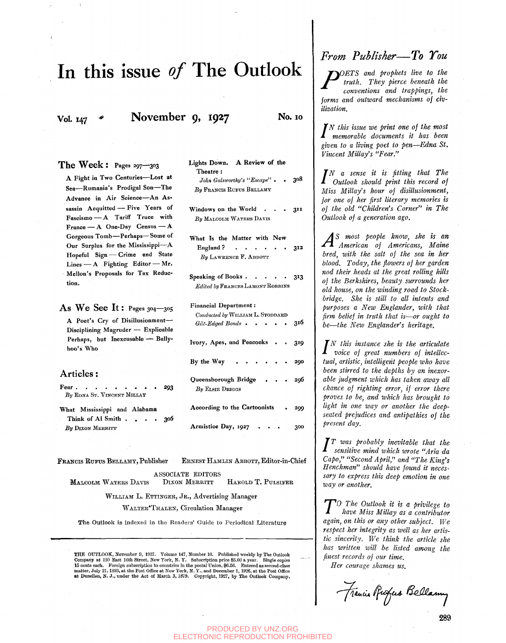## In this issue *of* The Outlook

**Vol. 147 •** November 9, 1927 **No. 10** 

The Week: Pages 297—303 A Fight in Two Centuries—Lost at Sea—Rumania's Prodigal Son—The Advance in Air Science—An Assassin Acquitted — Five Years of Fascismo -- A Tariff Truce with France — A One-Day Census — A Gorgeous Tomb—Perhaps—Some of Our Surplus for the Mississippi—A Hopeful Sign - Crime and State Lines — A Fighting Editor — Mr. Mellon's Proposals for Tax Reduction.

As We See It: Pages 304—305

A Poet's Cry of Disillusionment-Disciplining Magruder — Explicable Perhaps, but Inexcusable — Ballyhoo's Who

#### Articles:

Fear. **By EDNA ST. VINCENT MILLAY** 293 What Mississippi and Alabama

Think of Al Smith . . . . 306 By DIXON MERRITT

FEAKCIS EUFUS BELLAMY, Publisher EENEST HAMLIN ABBOTT, Editor-in-Chief ASSOCIATE EDITORS MALCOLM WATERS DAVIS DIXON MERRITT HAROLD T. PULSIFER

WILLIAM L. ETTINGER, JR., Advertising Manager

WALTER'THALEN, Circulation Manager

The Outlook is indexed in the Readers' Guide to Periodical Literature

THE OUTLOOK, November 9, 1927. Volume 147, Number 10. Published weekly by The Outlook Company at 120 Bast 16th Street, New Tork, N. T. Subscription price \$5.00 a year. Single copies 15 cents each. Foreign subscription to countries in the postal Union, \$6.56. Entered as second-class matter, July 21, 1893, at the Post Office at New York, N.Y., and December 1, 1926, at the Post Office at Dunellen, N. J.,

### Lights Down. A Review of the Theatre : *John Galsworthy's "Escape" .* . 308 *By* PEANOIS EUFUS BELLAMY Windows on the World . . . 3II *By* MALCOLM WATERS DAVIS What Is the Matter with New England ?  $\cdots$   $\cdots$   $\cdots$  312 By LAWRENCE F. ABBOTT Speaking of Books  $\cdots$   $\cdots$  313 *Edited by* FRANCES LAMONT ROBBINS Financial Department: *Conducted by* WILLIAM L . STODDABD  $Gilt$ -Edged Bonds **316** Ivory, Apes, and Peacocks . . 319 By the Way  $\cdots$   $\cdots$  290 Queensborough Bridge . . . 296 *By* ELSIE DRIGGS According to the Cartoonists . 299 Armistice Day, 1927 . . . 300

*From Publisher*—*To You* 

*ryOETS and prophets live to the*   $truth.$  They pierce beneath the *conventions and trappings, the forms and outward mechanisms of civilization.* 

*N this issue ive print one of the most memorable documents it has been given to a living poet to pen*—*Edna St. Vincent MiUay's "Fear."* 

*N a sense it is fitting that The Outlook should print this record of Miss MiUay's hour of disillusionment, for one of her first literary memories is of the old "Children's Corner" in The Outlook of a generation ago.* 

*As most people know, she is an*  • \* ! *American of Americans, Maine bred, with the salt of the sea in her blood. Today, the flowers of her garden nod their heads at the great rolling hills of the Berkshires, beauty surrounds her old house, on the winding road to Stockbridge. She is still to all intents and purposes a New Englander, with that firm belief in truth that is*—*or ought to be—the New Englander's heritage.* 

*N this instance she is the articulate voice of great numbers of intellectual, artistic, intelligent people who have been stirred to the depths by an inexorable judgment which has taken away all chance of righting error, if error there proves to be, and which has brought to light in one way or another the deepseated prejudices and antipathies of the present day.* 

*T was probably inevitable that the sensitive mind which wrote "Aria da Capo," "Second April," and "The King's Henchman" should have found it necessary to express this deep emotion in one way or another.* 

*reay or another.*<br> *TO The Outlook it is a privilege to*<br> *have Miss Millay as a contributor*<br> *again, on this or any other subject.* We *O The Outlook it is a privilege to have Miss Millay as a contributor respect her integrity as well as her artistic sincerity. We think the article she has written ivill be listed among the finest records of our time.* 

*Her courage shames us.* 

 $-$ Francis Purfus Bellamy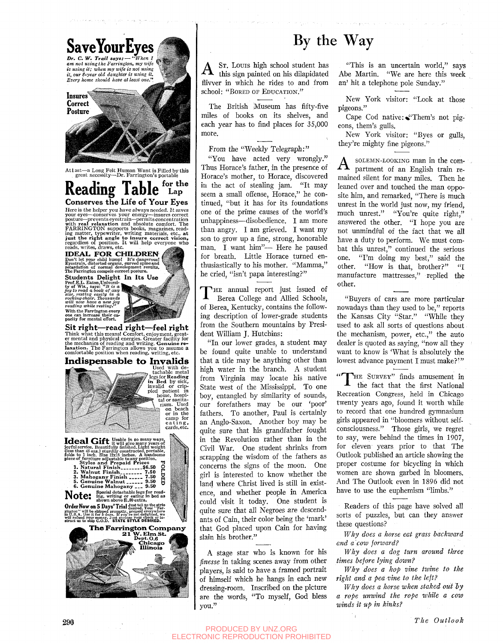

## By the Way

 $A$  Sr. Louis high school student has this sign painted on his dilapidated ST. LOUIS high school student has flivver in which he rides to and from school: "BORED OF EDUCATION."

The British Museum has fifty-five miles of books on its shelves, and each year has to find places for 35,000 more.

From the "Weekly Telegraph:"

"You have acted very wrongly." Thus Horace's father, in the presence of Horace's mother, to Horace, discovered in the act of stealing jam. "It may seem a small offense, Horace," he continued, "but it has for its foundations one of the prime causes of the world's unhappiness—disobedience. I am more than angry. I am grieved. I want my son to grow up a fine, strong, honorable man. I want him"— Here he paused for breath. Little Horace turned enthusiastically to his mother. "Mamma," he cried, "isn't papa interesting?"

 $\bf{l}$ HE annual report just issued of Berea College and Allied Schools, of Berea, Kentucky, contains the following description of lower-grade students from the Southern mountains by President William J. Hutchins:

"In our lower grades, a student may be found quite unable to understand that a tide may be anything other than high water in the branch. A student from Virginia may locate his native State west of the Mississippi. To one boy, entangled by similarity of sounds, our forefathers may be our 'poor' fathers. To another, Paul is certainly an Anglo-Saxon. Another boy may be quite sure that his grandfather fought in the Revolution rather than in the Civil War. One student shrinks from scrapping the wisdom of the fathers as concerns the signs of the moon. One girl is interested to know whether the land where Christ lived is still in existence, and whether people in America could visit it today. One student is quite sure that all Negroes are descendants of Cain, their color being the 'mark' that God placed upon Cain for having slain his brother."

A stage star who is known for his *finesse* in taking scenes away from other players, is said to have a framed portrait of himself which he hangs in each new dressing-room. Inscribed on the picture are the words, "To myself, God bless you."

"This is an uncertain world," says Abe Martin. "We are here this week an' hit a telephone pole Sunday."

New York visitor: "Look at those pigeons."

Cape Cod native: "Them's not pigeons, them's gulls.

New York visitor: "Byes or gulls, they're mighty fine pigeons."

 $A$  solemn-looking man in the compartment of an English train remained silent for many miles. Then he leaned over and touched the man opposite him, and remarked, "There is much unrest in the world just now, my friend, much unrest." "You're quite right," answered the other. "I hope you are not unmindful of the fact that we all have a duty to perform. We must combat this unrest," continued the serious one. "I'm doing my best," said the other. "How is that, brother?" "I manufacture mattresses," replied the other.

"Buyers of cars are more particular nowadays than they used to be," reports the Kansas City "Star." "While they used to ask all sorts of questions about the mechanism, power, etc.," the auto dealer is quoted as saying, "now all they want to know is 'What is absolutely the lowest advance payment I must make?'"

THE SURVEY" finds amusement in the fact that the first National Recreation Congress, held in Chicago twenty years ago, found it worth while to record that one hundred gymnasium girls appeared in "bloomers without selfconsciousness." Those girls, we regret to say, were behind the times in 1907, for eleven years prior to that The Outlook published an article showing the proper costume for bicycling in which women are shown garbed in bloomers. And The Outlook even in 1896 did not have to use the euphemism "limbs."

Readers of this page have solved all sorts of puzzles, but can they answer these questions?

*Why does a horse eat grass backward and a cow forward?* 

*Why does a dog turn around three times before lying down?* 

*Why does a hop vine twine to the right and a pea vine to the left?* 

*Why does a horse when staked out hy a rope unwind the rope while a cow winds it up in kinks?* 

PRODUCED BY UNZ.ORG ELECTRONIC REPRODUCTION PROHIBITED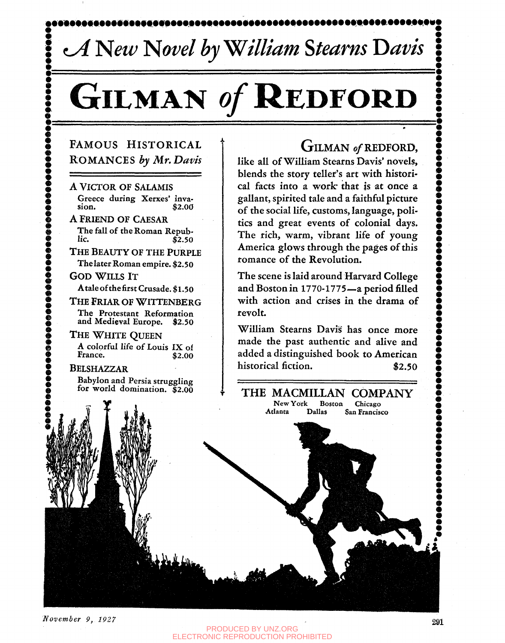# $cA$  New Novel by William Stearns Davis

# GILMAN of **REDFORD**

### FAMOUS HISTORICAL ROMANCES *by Mr. Davis*

A VICTOR OF SALAMIS Greece during Xerxes' inva-<br>sion. \$2.00 \$2.00

A FRIEND OF CAESAR The fall of the Roman Repub- $\bar{$}2.50$ 

**I** 

**DODD** 

........

**9 e 9 e**  *m* 

THE BEAUTY OF THE PURPLE Thelater Roman empire. \$2.50 **GOD WILLS IT** 

Ataleofthefirst Crusade. \$1.50

THE FRIAR OF WITTENBERG The Protestant Reformation and Medieval Europe. \$2.50

THE WHITE QUEEN A colorful life of Louis IX of France. \$2.00

**BELSHAZZAR** Babylon and Persia struggling for world domination. \$2.00

## GILMAN of REDFORD,

like all of William Stearns Davis' novels, blends the story teller's art with historical facts into a work that is at once a gallant, spirited tale and a faithful picture of the social life, customs, language, politics and great events of colonial days. The rich, warm, vibrant life of young America glows through the pages of this romance of the Revolution.

The scene is laid around Harvard College and Boston in 1770-1775—a period filled with action and crises in the drama of revolt.

William Stearns Davis^ has once more made the past authentic and alive and added a distinguished book to American historical fiction.  $$2.50$ 

THE MACMILLAN COMPANY<br>New York Boston Chicago New York Boston<br>Atlanta Dallas S **San Francisco** 

*November 9, 1927* **291** 

**:**